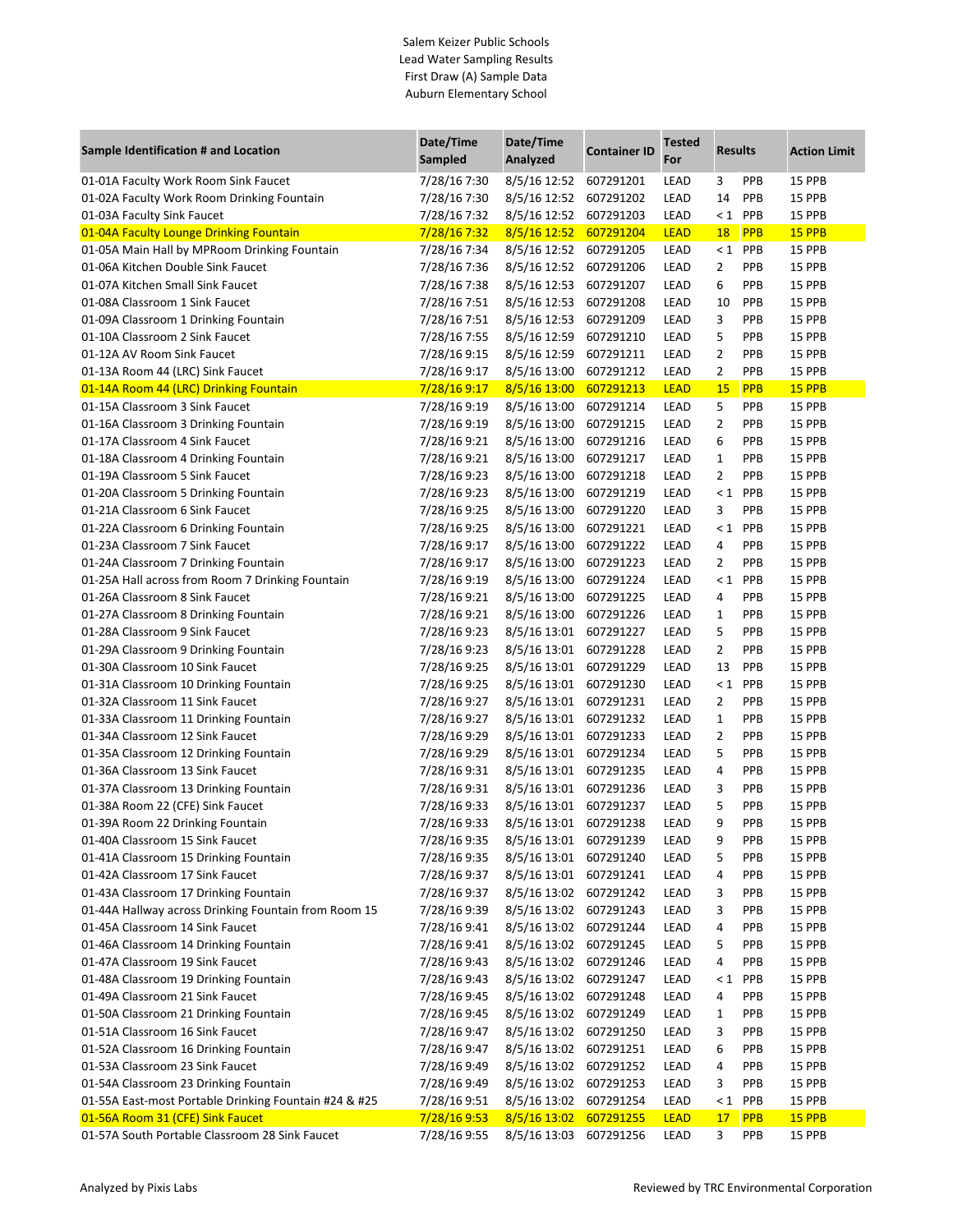## Salem Keizer Public Schools Lead Water Sampling Results First Draw (A) Sample Data Auburn Elementary School

| Sample Identification # and Location                                                      | Date/Time<br>Sampled         | Date/Time<br>Analyzed        | <b>Container ID</b>    | <b>Tested</b><br>For | <b>Results</b> |            | <b>Action Limit</b>     |
|-------------------------------------------------------------------------------------------|------------------------------|------------------------------|------------------------|----------------------|----------------|------------|-------------------------|
| 01-01A Faculty Work Room Sink Faucet                                                      | 7/28/16 7:30                 | 8/5/16 12:52                 | 607291201              | LEAD                 | 3              | PPB        | <b>15 PPB</b>           |
| 01-02A Faculty Work Room Drinking Fountain                                                | 7/28/16 7:30                 | 8/5/16 12:52                 | 607291202              | LEAD                 | 14             | PPB        | <b>15 PPB</b>           |
| 01-03A Faculty Sink Faucet                                                                | 7/28/16 7:32                 | 8/5/16 12:52                 | 607291203              | LEAD                 |                | $< 1$ PPB  | <b>15 PPB</b>           |
| 01-04A Faculty Lounge Drinking Fountain                                                   | 7/28/16 7:32                 | 8/5/16 12:52                 | 607291204              | <b>LEAD</b>          | 18             | <b>PPB</b> | <b>15 PPB</b>           |
| 01-05A Main Hall by MPRoom Drinking Fountain                                              | 7/28/16 7:34                 | 8/5/16 12:52                 | 607291205              | LEAD                 |                | $< 1$ PPB  | <b>15 PPB</b>           |
| 01-06A Kitchen Double Sink Faucet                                                         | 7/28/16 7:36                 | 8/5/16 12:52                 | 607291206              | LEAD                 | 2              | PPB        | <b>15 PPB</b>           |
| 01-07A Kitchen Small Sink Faucet                                                          | 7/28/16 7:38                 | 8/5/16 12:53                 | 607291207              | LEAD                 | 6              | PPB        | 15 PPB                  |
| 01-08A Classroom 1 Sink Faucet                                                            | 7/28/16 7:51                 | 8/5/16 12:53                 | 607291208              | LEAD                 | 10             | PPB        | 15 PPB                  |
| 01-09A Classroom 1 Drinking Fountain                                                      | 7/28/16 7:51                 | 8/5/16 12:53                 | 607291209              | LEAD                 | 3              | PPB        | <b>15 PPB</b>           |
| 01-10A Classroom 2 Sink Faucet                                                            | 7/28/16 7:55                 | 8/5/16 12:59                 | 607291210              | LEAD                 | 5              | PPB        | <b>15 PPB</b>           |
| 01-12A AV Room Sink Faucet                                                                | 7/28/16 9:15                 | 8/5/16 12:59                 | 607291211              | LEAD                 | $\overline{2}$ | PPB        | <b>15 PPB</b>           |
| 01-13A Room 44 (LRC) Sink Faucet                                                          | 7/28/16 9:17                 | 8/5/16 13:00                 | 607291212              | LEAD                 | $\overline{2}$ | PPB        | <b>15 PPB</b>           |
| 01-14A Room 44 (LRC) Drinking Fountain                                                    | 7/28/16 9:17                 | 8/5/16 13:00                 | 607291213              | <b>LEAD</b>          | 15             | <b>PPB</b> | 15 PPB                  |
| 01-15A Classroom 3 Sink Faucet                                                            | 7/28/16 9:19                 | 8/5/16 13:00                 | 607291214              | LEAD                 | 5              | PPB        | 15 PPB                  |
| 01-16A Classroom 3 Drinking Fountain                                                      | 7/28/16 9:19                 | 8/5/16 13:00                 | 607291215              | LEAD                 | 2              | PPB        | 15 PPB                  |
| 01-17A Classroom 4 Sink Faucet                                                            | 7/28/16 9:21                 | 8/5/16 13:00                 | 607291216              | LEAD                 | 6              | PPB        | 15 PPB                  |
| 01-18A Classroom 4 Drinking Fountain                                                      | 7/28/16 9:21                 | 8/5/16 13:00                 | 607291217              | LEAD                 | 1              | PPB        | 15 PPB                  |
| 01-19A Classroom 5 Sink Faucet                                                            | 7/28/16 9:23                 | 8/5/16 13:00                 | 607291218              | LEAD                 | 2              | PPB        | <b>15 PPB</b>           |
| 01-20A Classroom 5 Drinking Fountain                                                      | 7/28/16 9:23                 | 8/5/16 13:00                 | 607291219              | LEAD                 |                | $< 1$ PPB  | <b>15 PPB</b>           |
| 01-21A Classroom 6 Sink Faucet                                                            | 7/28/16 9:25                 | 8/5/16 13:00                 | 607291220              | LEAD                 | 3              | PPB        | <b>15 PPB</b>           |
| 01-22A Classroom 6 Drinking Fountain                                                      | 7/28/16 9:25                 | 8/5/16 13:00                 | 607291221              | LEAD                 | $\leq 1$       | <b>PPB</b> | 15 PPB                  |
| 01-23A Classroom 7 Sink Faucet                                                            | 7/28/16 9:17                 | 8/5/16 13:00                 | 607291222              | LEAD                 | 4              | PPB        | 15 PPB                  |
| 01-24A Classroom 7 Drinking Fountain                                                      | 7/28/16 9:17                 | 8/5/16 13:00                 | 607291223              | LEAD                 | 2              | PPB        | 15 PPB                  |
| 01-25A Hall across from Room 7 Drinking Fountain                                          | 7/28/16 9:19                 | 8/5/16 13:00                 | 607291224              | LEAD                 | $\leq 1$       | PPB        | 15 PPB                  |
| 01-26A Classroom 8 Sink Faucet                                                            | 7/28/16 9:21                 | 8/5/16 13:00                 | 607291225              | LEAD                 | 4              | PPB        | <b>15 PPB</b>           |
| 01-27A Classroom 8 Drinking Fountain                                                      | 7/28/16 9:21                 | 8/5/16 13:00                 | 607291226              | LEAD                 | 1              | PPB        | <b>15 PPB</b>           |
| 01-28A Classroom 9 Sink Faucet                                                            | 7/28/16 9:23                 | 8/5/16 13:01 607291227       |                        | LEAD                 | 5              | PPB        | <b>15 PPB</b>           |
| 01-29A Classroom 9 Drinking Fountain                                                      | 7/28/16 9:23                 | 8/5/16 13:01 607291228       |                        | LEAD                 | $\overline{2}$ | PPB        | 15 PPB                  |
| 01-30A Classroom 10 Sink Faucet                                                           | 7/28/16 9:25                 | 8/5/16 13:01                 | 607291229              | LEAD                 | 13             | <b>PPB</b> | 15 PPB                  |
| 01-31A Classroom 10 Drinking Fountain                                                     | 7/28/16 9:25                 | 8/5/16 13:01                 | 607291230              | LEAD                 | $\leq 1$       | PPB        | 15 PPB                  |
| 01-32A Classroom 11 Sink Faucet                                                           | 7/28/16 9:27                 | 8/5/16 13:01                 | 607291231              | LEAD                 | 2              | PPB        | <b>15 PPB</b>           |
| 01-33A Classroom 11 Drinking Fountain                                                     | 7/28/16 9:27                 | 8/5/16 13:01                 | 607291232              | LEAD                 | $\mathbf{1}$   | PPB        | <b>15 PPB</b>           |
| 01-34A Classroom 12 Sink Faucet                                                           | 7/28/16 9:29                 | 8/5/16 13:01                 | 607291233              | LEAD                 | $\overline{2}$ | PPB        | <b>15 PPB</b>           |
| 01-35A Classroom 12 Drinking Fountain                                                     | 7/28/16 9:29                 | 8/5/16 13:01 607291234       |                        | LEAD                 | 5              | PPB        | <b>15 PPB</b>           |
| 01-36A Classroom 13 Sink Faucet                                                           | 7/28/16 9:31                 | 8/5/16 13:01 607291235       |                        | LEAD                 | 4              | PPB        | <b>15 PPB</b>           |
| 01-37A Classroom 13 Drinking Fountain                                                     | 7/28/16 9:31                 | 8/5/16 13:01 607291236       |                        | LEAD                 | 3              | PPB        | 15 PPB                  |
| 01-38A Room 22 (CFE) Sink Faucet                                                          | 7/28/16 9:33                 | 8/5/16 13:01 607291237       |                        | LEAD                 | 5              | PPB        | 15 PPB                  |
| 01-39A Room 22 Drinking Fountain                                                          | 7/28/16 9:33                 | 8/5/16 13:01                 | 607291238              | LEAD                 | 9              | PPB        | <b>15 PPB</b>           |
| 01-40A Classroom 15 Sink Faucet                                                           | 7/28/16 9:35                 | 8/5/16 13:01 607291239       |                        | LEAD                 | 9              | PPB        | 15 PPB                  |
| 01-41A Classroom 15 Drinking Fountain                                                     | 7/28/16 9:35                 | 8/5/16 13:01                 | 607291240              | LEAD                 | 5              | PPB        | 15 PPB                  |
| 01-42A Classroom 17 Sink Faucet                                                           | 7/28/16 9:37                 | 8/5/16 13:01 607291241       |                        | LEAD                 | 4              | PPB        | 15 PPB                  |
| 01-43A Classroom 17 Drinking Fountain                                                     | 7/28/16 9:37                 | 8/5/16 13:02 607291242       |                        | LEAD                 | 3              | PPB        | 15 PPB                  |
| 01-44A Hallway across Drinking Fountain from Room 15                                      | 7/28/16 9:39                 | 8/5/16 13:02 607291243       |                        | LEAD                 | 3              | PPB        | 15 PPB                  |
| 01-45A Classroom 14 Sink Faucet                                                           | 7/28/16 9:41                 | 8/5/16 13:02 607291244       |                        | LEAD                 | 4              | PPB        | 15 PPB                  |
| 01-46A Classroom 14 Drinking Fountain                                                     | 7/28/16 9:41                 | 8/5/16 13:02 607291245       |                        | LEAD                 | 5              | PPB        | 15 PPB                  |
| 01-47A Classroom 19 Sink Faucet                                                           | 7/28/16 9:43                 | 8/5/16 13:02                 | 607291246              | LEAD                 | 4              | PPB        | 15 PPB                  |
| 01-48A Classroom 19 Drinking Fountain                                                     | 7/28/16 9:43                 | 8/5/16 13:02                 | 607291247              | LEAD                 | $\leq 1$       | PPB        | 15 PPB                  |
| 01-49A Classroom 21 Sink Faucet                                                           | 7/28/16 9:45                 | 8/5/16 13:02 607291248       |                        | LEAD                 | 4              | PPB        | 15 PPB                  |
| 01-50A Classroom 21 Drinking Fountain                                                     | 7/28/16 9:45                 | 8/5/16 13:02 607291249       |                        | LEAD                 | 1              | PPB        | 15 PPB                  |
| 01-51A Classroom 16 Sink Faucet                                                           | 7/28/16 9:47                 | 8/5/16 13:02                 | 607291250              | LEAD                 | 3              | PPB        | 15 PPB                  |
|                                                                                           |                              |                              |                        |                      |                |            |                         |
| 01-52A Classroom 16 Drinking Fountain                                                     | 7/28/16 9:47                 | 8/5/16 13:02 607291251       |                        | LEAD                 | 6              | PPB        | 15 PPB                  |
| 01-53A Classroom 23 Sink Faucet                                                           | 7/28/16 9:49                 | 8/5/16 13:02                 | 607291252              | LEAD                 | 4              | PPB        | 15 PPB                  |
| 01-54A Classroom 23 Drinking Fountain                                                     | 7/28/16 9:49                 | 8/5/16 13:02                 | 607291253              | LEAD                 | 3              | PPB        | 15 PPB                  |
| 01-55A East-most Portable Drinking Fountain #24 & #25<br>01-56A Room 31 (CFE) Sink Faucet | 7/28/16 9:51<br>7/28/16 9:53 | 8/5/16 13:02<br>8/5/16 13:02 | 607291254<br>607291255 | LEAD<br><b>LEAD</b>  | $\leq 1$<br>17 | PPB<br>PPB | 15 PPB<br><b>15 PPB</b> |
| 01-57A South Portable Classroom 28 Sink Faucet                                            | 7/28/16 9:55                 | 8/5/16 13:03                 | 607291256              | LEAD                 | 3              | PPB        | 15 PPB                  |
|                                                                                           |                              |                              |                        |                      |                |            |                         |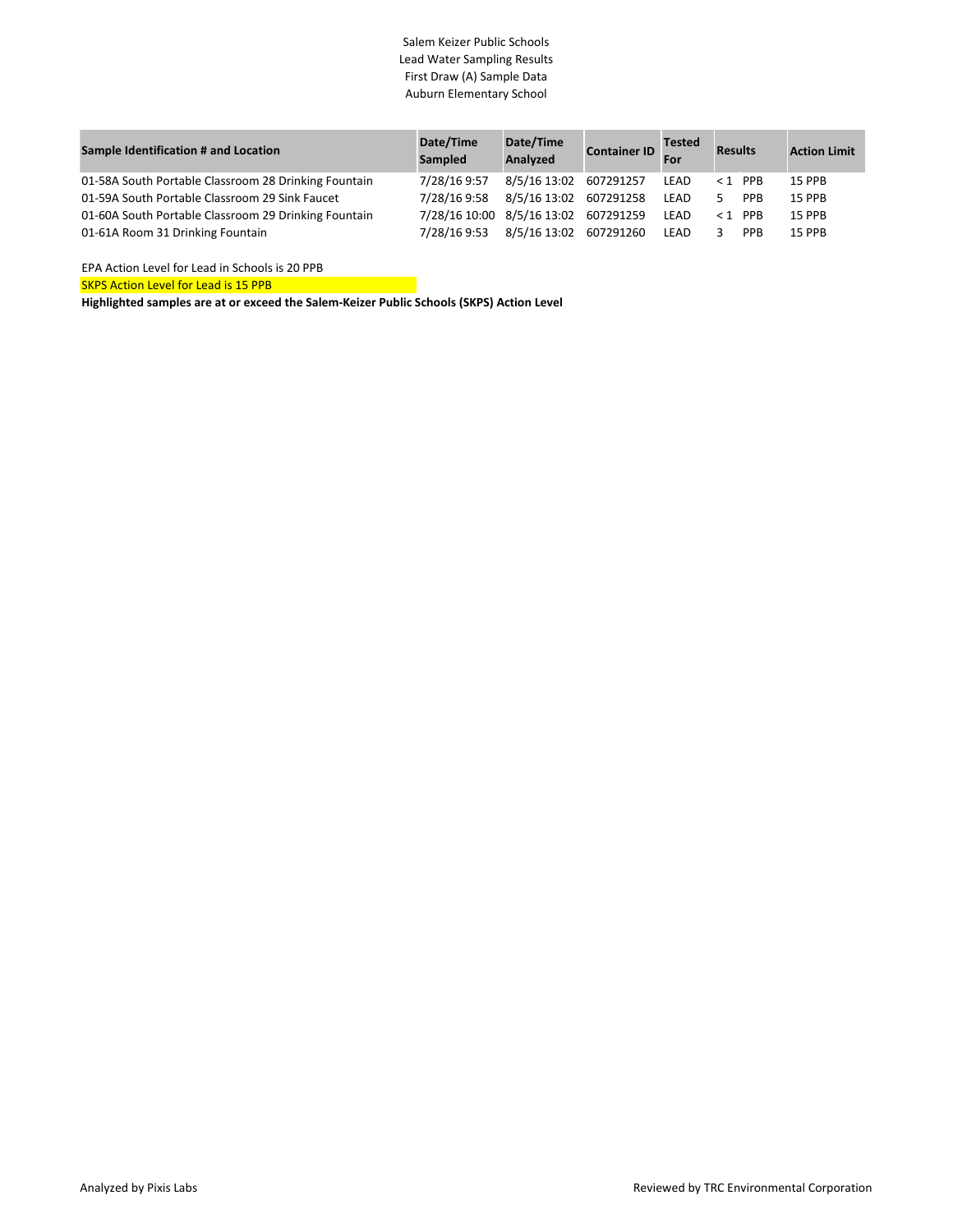## Salem Keizer Public Schools Lead Water Sampling Results First Draw (A) Sample Data Auburn Elementary School

| Sample Identification # and Location                 | Date/Time<br>Sampled                 | Date/Time<br>Analyzed  | <b>Container ID</b> For | <b>Tested</b> | <b>Results</b>   | <b>Action Limit</b> |
|------------------------------------------------------|--------------------------------------|------------------------|-------------------------|---------------|------------------|---------------------|
| 01-58A South Portable Classroom 28 Drinking Fountain | 7/28/16 9:57                         | 8/5/16 13:02 607291257 |                         | LEAD          | $1$ PPB          | 15 PPB              |
| 01-59A South Portable Classroom 29 Sink Faucet       | 7/28/16 9:58                         | 8/5/16 13:02 607291258 |                         | LEAD          | <b>PPB</b><br>5. | <b>15 PPB</b>       |
| 01-60A South Portable Classroom 29 Drinking Fountain | 7/28/16 10:00 8/5/16 13:02 607291259 |                        |                         | LEAD          | $< 1$ PPB        | <b>15 PPB</b>       |
| 01-61A Room 31 Drinking Fountain                     | 7/28/16 9:53                         | 8/5/16 13:02 607291260 |                         | LEAD          | <b>PPB</b>       | 15 PPB              |

EPA Action Level for Lead in Schools is 20 PPB

SKPS Action Level for Lead is 15 PPB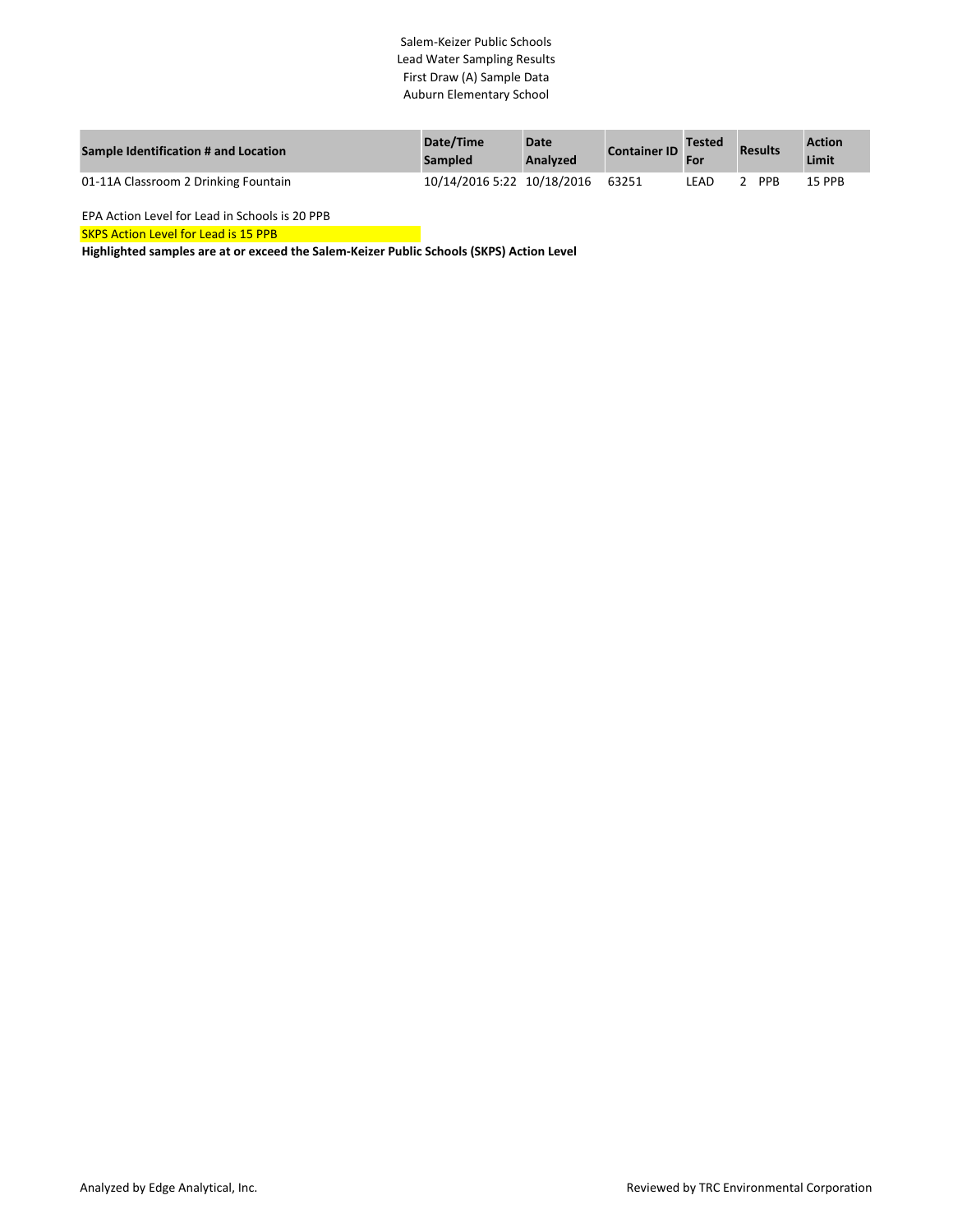# Salem-Keizer Public Schools Lead Water Sampling Results First Draw (A) Sample Data Auburn Elementary School

| Sample Identification # and Location | Date/Time<br><b>Sampled</b> | <b>Date</b><br>Analyzed | <b>Container ID</b> | <b>Tested</b><br>For | <b>Results</b> | <b>Action</b><br>Limit |
|--------------------------------------|-----------------------------|-------------------------|---------------------|----------------------|----------------|------------------------|
| 01-11A Classroom 2 Drinking Fountain | 10/14/2016 5:22 10/18/2016  |                         | 63251               | _EAD                 | <b>PPB</b>     | 15 PPB                 |

EPA Action Level for Lead in Schools is 20 PPB

SKPS Action Level for Lead is 15 PPB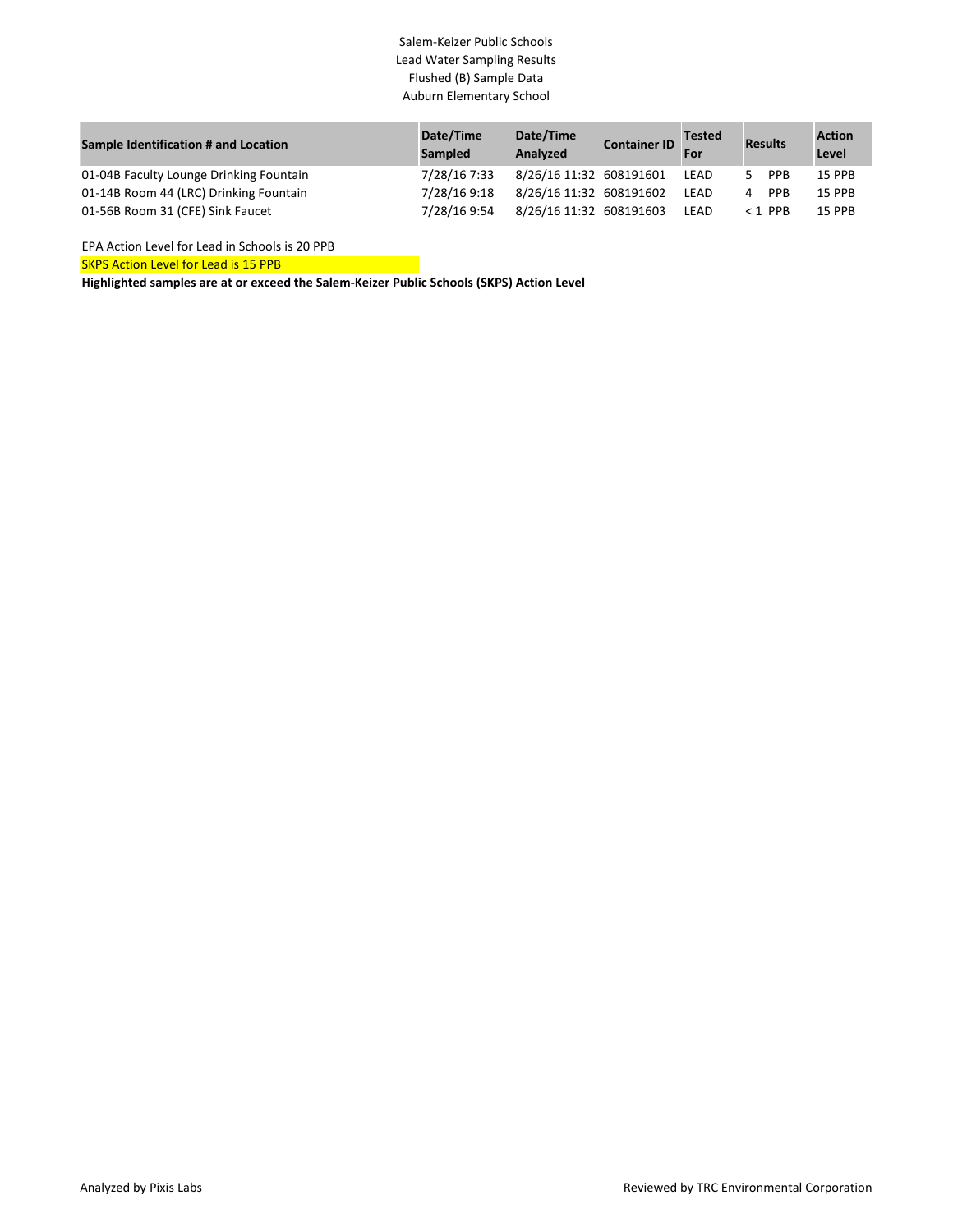# Salem-Keizer Public Schools Lead Water Sampling Results Flushed (B) Sample Data Auburn Elementary School

| Sample Identification # and Location    | Date/Time<br><b>Sampled</b> | Date/Time<br>Analyzed   | <b>Container ID</b> | <b>Tested</b><br>For | <b>Results</b> | <b>Action</b><br>Level |
|-----------------------------------------|-----------------------------|-------------------------|---------------------|----------------------|----------------|------------------------|
| 01-04B Faculty Lounge Drinking Fountain | 7/28/16 7:33                | 8/26/16 11:32 608191601 |                     | LEAD                 | <b>PPB</b>     | <b>15 PPB</b>          |
| 01-14B Room 44 (LRC) Drinking Fountain  | 7/28/16 9:18                | 8/26/16 11:32 608191602 |                     | LEAD                 | PPB<br>4       | 15 PPB                 |
| 01-56B Room 31 (CFE) Sink Faucet        | 7/28/16 9:54                | 8/26/16 11:32 608191603 |                     | LEAD                 | $<$ 1 PPR      | 15 PPB                 |

EPA Action Level for Lead in Schools is 20 PPB

SKPS Action Level for Lead is 15 PPB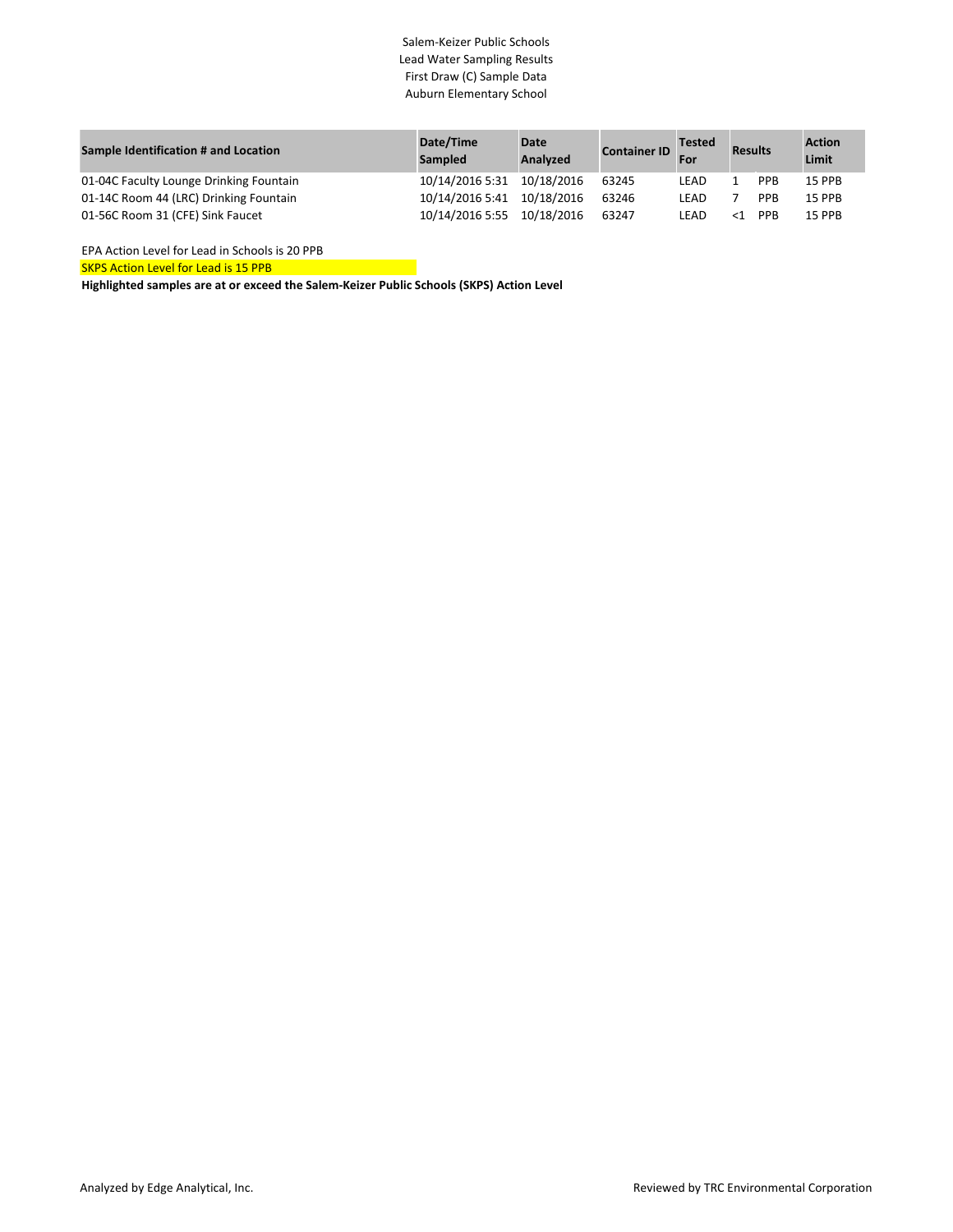## Salem-Keizer Public Schools Lead Water Sampling Results First Draw (C) Sample Data Auburn Elementary School

| Sample Identification # and Location    | Date/Time<br><b>Sampled</b> | Date<br><b>Analyzed</b> | <b>Container ID</b> | <b>Tested</b><br>For | <b>Results</b> |            | <b>Action</b><br>Limit |
|-----------------------------------------|-----------------------------|-------------------------|---------------------|----------------------|----------------|------------|------------------------|
| 01-04C Faculty Lounge Drinking Fountain | 10/14/2016 5:31             | 10/18/2016              | 63245               | LEAD                 |                | <b>PPB</b> | 15 PPB                 |
| 01-14C Room 44 (LRC) Drinking Fountain  | 10/14/2016 5:41             | 10/18/2016              | 63246               | LEAD                 |                | <b>PPB</b> | <b>15 PPB</b>          |
| 01-56C Room 31 (CFE) Sink Faucet        | 10/14/2016 5:55             | 10/18/2016              | 63247               | LEAD                 |                | <b>PPR</b> | <b>15 PPB</b>          |

SKPS Action Level for Lead is 15 PPB EPA Action Level for Lead in Schools is 20 PPB